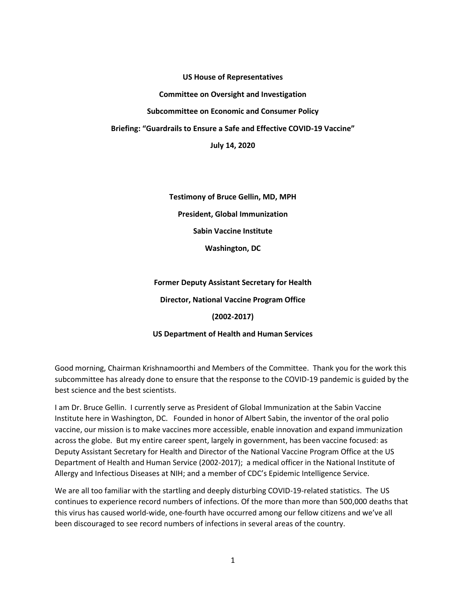**US House of Representatives**

**Committee on Oversight and Investigation**

**Subcommittee on Economic and Consumer Policy**

**Briefing: "Guardrails to Ensure a Safe and Effective COVID-19 Vaccine"**

**July 14, 2020**

**Testimony of Bruce Gellin, MD, MPH President, Global Immunization Sabin Vaccine Institute Washington, DC**

**Former Deputy Assistant Secretary for Health Director, National Vaccine Program Office (2002-2017)**

**US Department of Health and Human Services** 

Good morning, Chairman Krishnamoorthi and Members of the Committee. Thank you for the work this subcommittee has already done to ensure that the response to the COVID-19 pandemic is guided by the best science and the best scientists.

I am Dr. Bruce Gellin. I currently serve as President of Global Immunization at the Sabin Vaccine Institute here in Washington, DC. Founded in honor of Albert Sabin, the inventor of the oral polio vaccine, our mission is to make vaccines more accessible, enable innovation and expand immunization across the globe. But my entire career spent, largely in government, has been vaccine focused: as Deputy Assistant Secretary for Health and Director of the National Vaccine Program Office at the US Department of Health and Human Service (2002-2017); a medical officer in the National Institute of Allergy and Infectious Diseases at NIH; and a member of CDC's Epidemic Intelligence Service.

We are all too familiar with the startling and deeply disturbing COVID-19-related statistics. The US continues to experience record numbers of infections. Of the more than more than 500,000 deaths that this virus has caused world-wide, one-fourth have occurred among our fellow citizens and we've all been discouraged to see record numbers of infections in several areas of the country.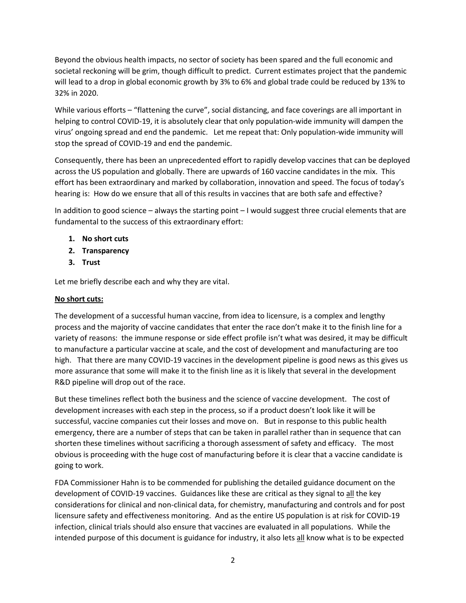Beyond the obvious health impacts, no sector of society has been spared and the full economic and societal reckoning will be grim, though difficult to predict. Current estimates project that the pandemic will lead to a drop in global economic growth by 3% to 6% and global trade could be reduced by 13% to 32% in 2020.

While various efforts – "flattening the curve", social distancing, and face coverings are all important in helping to control COVID-19, it is absolutely clear that only population-wide immunity will dampen the virus' ongoing spread and end the pandemic. Let me repeat that: Only population-wide immunity will stop the spread of COVID-19 and end the pandemic.

Consequently, there has been an unprecedented effort to rapidly develop vaccines that can be deployed across the US population and globally. There are upwards of 160 vaccine candidates in the mix. This effort has been extraordinary and marked by collaboration, innovation and speed. The focus of today's hearing is: How do we ensure that all of this results in vaccines that are both safe and effective?

In addition to good science – always the starting point – I would suggest three crucial elements that are fundamental to the success of this extraordinary effort:

- **1. No short cuts**
- **2. Transparency**
- **3. Trust**

Let me briefly describe each and why they are vital.

### **No short cuts:**

The development of a successful human vaccine, from idea to licensure, is a complex and lengthy process and the majority of vaccine candidates that enter the race don't make it to the finish line for a variety of reasons: the immune response or side effect profile isn't what was desired, it may be difficult to manufacture a particular vaccine at scale, and the cost of development and manufacturing are too high. That there are many COVID-19 vaccines in the development pipeline is good news as this gives us more assurance that some will make it to the finish line as it is likely that several in the development R&D pipeline will drop out of the race.

But these timelines reflect both the business and the science of vaccine development. The cost of development increases with each step in the process, so if a product doesn't look like it will be successful, vaccine companies cut their losses and move on. But in response to this public health emergency, there are a number of steps that can be taken in parallel rather than in sequence that can shorten these timelines without sacrificing a thorough assessment of safety and efficacy. The most obvious is proceeding with the huge cost of manufacturing before it is clear that a vaccine candidate is going to work.

FDA Commissioner Hahn is to be commended for publishing the detailed guidance document on the development of COVID-19 vaccines. Guidances like these are critical as they signal to all the key considerations for clinical and non-clinical data, for chemistry, manufacturing and controls and for post licensure safety and effectiveness monitoring. And as the entire US population is at risk for COVID-19 infection, clinical trials should also ensure that vaccines are evaluated in all populations. While the intended purpose of this document is guidance for industry, it also lets all know what is to be expected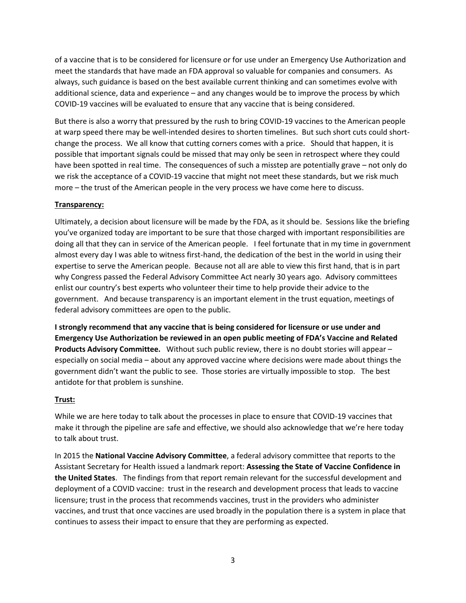of a vaccine that is to be considered for licensure or for use under an Emergency Use Authorization and meet the standards that have made an FDA approval so valuable for companies and consumers. As always, such guidance is based on the best available current thinking and can sometimes evolve with additional science, data and experience – and any changes would be to improve the process by which COVID-19 vaccines will be evaluated to ensure that any vaccine that is being considered.

But there is also a worry that pressured by the rush to bring COVID-19 vaccines to the American people at warp speed there may be well-intended desires to shorten timelines. But such short cuts could shortchange the process. We all know that cutting corners comes with a price. Should that happen, it is possible that important signals could be missed that may only be seen in retrospect where they could have been spotted in real time. The consequences of such a misstep are potentially grave – not only do we risk the acceptance of a COVID-19 vaccine that might not meet these standards, but we risk much more – the trust of the American people in the very process we have come here to discuss.

### **Transparency:**

Ultimately, a decision about licensure will be made by the FDA, as it should be. Sessions like the briefing you've organized today are important to be sure that those charged with important responsibilities are doing all that they can in service of the American people. I feel fortunate that in my time in government almost every day I was able to witness first-hand, the dedication of the best in the world in using their expertise to serve the American people. Because not all are able to view this first hand, that is in part why Congress passed the Federal Advisory Committee Act nearly 30 years ago. Advisory committees enlist our country's best experts who volunteer their time to help provide their advice to the government. And because transparency is an important element in the trust equation, meetings of federal advisory committees are open to the public.

**I strongly recommend that any vaccine that is being considered for licensure or use under and Emergency Use Authorization be reviewed in an open public meeting of FDA's Vaccine and Related Products Advisory Committee.** Without such public review, there is no doubt stories will appear – especially on social media – about any approved vaccine where decisions were made about things the government didn't want the public to see. Those stories are virtually impossible to stop. The best antidote for that problem is sunshine.

## **Trust:**

While we are here today to talk about the processes in place to ensure that COVID-19 vaccines that make it through the pipeline are safe and effective, we should also acknowledge that we're here today to talk about trust.

In 2015 the **National Vaccine Advisory Committee**, a federal advisory committee that reports to the Assistant Secretary for Health issued a landmark report: **Assessing the State of Vaccine Confidence in the United States**. The findings from that report remain relevant for the successful development and deployment of a COVID vaccine: trust in the research and development process that leads to vaccine licensure; trust in the process that recommends vaccines, trust in the providers who administer vaccines, and trust that once vaccines are used broadly in the population there is a system in place that continues to assess their impact to ensure that they are performing as expected.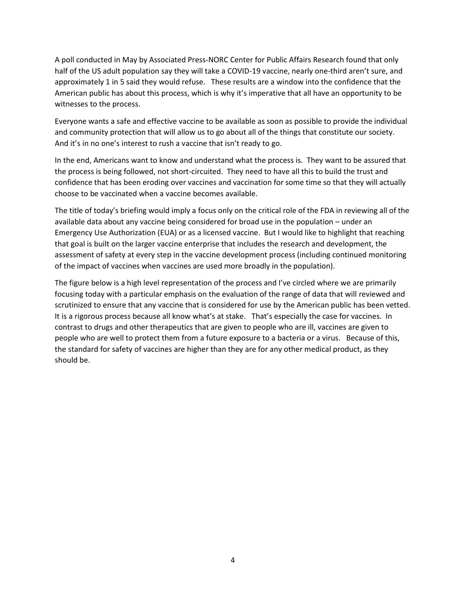A poll conducted in May by Associated Press-NORC Center for Public Affairs Research found that only half of the US adult population say they will take a COVID-19 vaccine, nearly one-third aren't sure, and approximately 1 in 5 said they would refuse. These results are a window into the confidence that the American public has about this process, which is why it's imperative that all have an opportunity to be witnesses to the process.

Everyone wants a safe and effective vaccine to be available as soon as possible to provide the individual and community protection that will allow us to go about all of the things that constitute our society. And it's in no one's interest to rush a vaccine that isn't ready to go.

In the end, Americans want to know and understand what the process is. They want to be assured that the process is being followed, not short-circuited. They need to have all this to build the trust and confidence that has been eroding over vaccines and vaccination for some time so that they will actually choose to be vaccinated when a vaccine becomes available.

The title of today's briefing would imply a focus only on the critical role of the FDA in reviewing all of the available data about any vaccine being considered for broad use in the population – under an Emergency Use Authorization (EUA) or as a licensed vaccine. But I would like to highlight that reaching that goal is built on the larger vaccine enterprise that includes the research and development, the assessment of safety at every step in the vaccine development process (including continued monitoring of the impact of vaccines when vaccines are used more broadly in the population).

The figure below is a high level representation of the process and I've circled where we are primarily focusing today with a particular emphasis on the evaluation of the range of data that will reviewed and scrutinized to ensure that any vaccine that is considered for use by the American public has been vetted. It is a rigorous process because all know what's at stake. That's especially the case for vaccines. In contrast to drugs and other therapeutics that are given to people who are ill, vaccines are given to people who are well to protect them from a future exposure to a bacteria or a virus. Because of this, the standard for safety of vaccines are higher than they are for any other medical product, as they should be.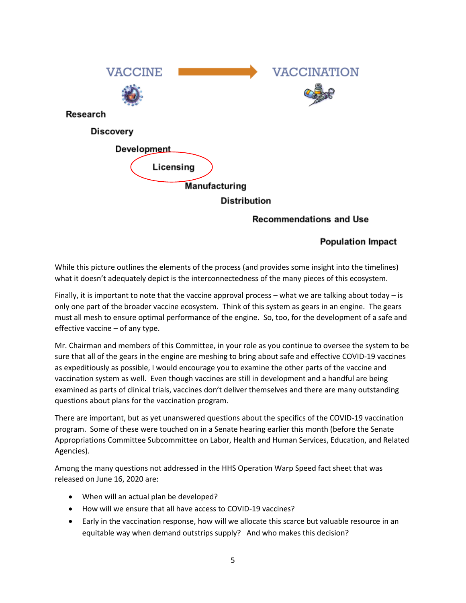

## **Recommendations and Use**

# **Population Impact**

While this picture outlines the elements of the process (and provides some insight into the timelines) what it doesn't adequately depict is the interconnectedness of the many pieces of this ecosystem.

Finally, it is important to note that the vaccine approval process – what we are talking about today – is only one part of the broader vaccine ecosystem. Think of this system as gears in an engine. The gears must all mesh to ensure optimal performance of the engine. So, too, for the development of a safe and effective vaccine – of any type.

Mr. Chairman and members of this Committee, in your role as you continue to oversee the system to be sure that all of the gears in the engine are meshing to bring about safe and effective COVID-19 vaccines as expeditiously as possible, I would encourage you to examine the other parts of the vaccine and vaccination system as well. Even though vaccines are still in development and a handful are being examined as parts of clinical trials, vaccines don't deliver themselves and there are many outstanding questions about plans for the vaccination program.

There are important, but as yet unanswered questions about the specifics of the COVID-19 vaccination program. Some of these were touched on in a Senate hearing earlier this month (before the Senate Appropriations Committee Subcommittee on Labor, Health and Human Services, Education, and Related Agencies).

Among the many questions not addressed in the HHS Operation Warp Speed fact sheet that was released on June 16, 2020 are:

- When will an actual plan be developed?
- How will we ensure that all have access to COVID-19 vaccines?
- Early in the vaccination response, how will we allocate this scarce but valuable resource in an equitable way when demand outstrips supply? And who makes this decision?